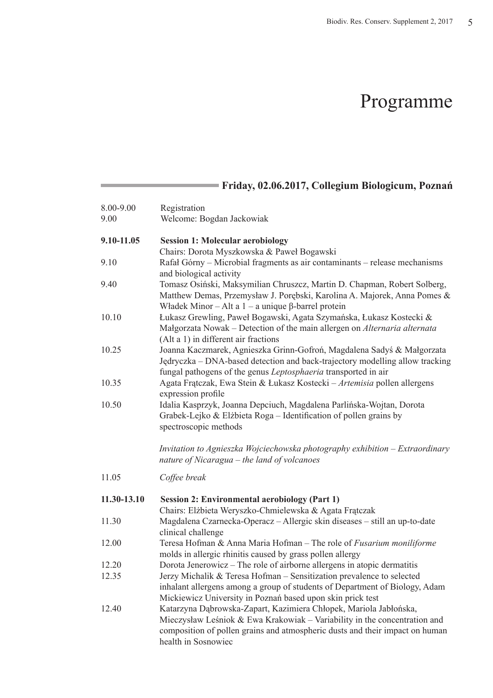## Programme

|             | Friday, 02.06.2017, Collegium Biologicum, Poznań                                                                                                                                                                                                      |
|-------------|-------------------------------------------------------------------------------------------------------------------------------------------------------------------------------------------------------------------------------------------------------|
| 8.00-9.00   | Registration                                                                                                                                                                                                                                          |
| 9.00        | Welcome: Bogdan Jackowiak                                                                                                                                                                                                                             |
| 9.10-11.05  | <b>Session 1: Molecular aerobiology</b><br>Chairs: Dorota Myszkowska & Paweł Bogawski                                                                                                                                                                 |
| 9.10        | Rafał Górny – Microbial fragments as air contaminants – release mechanisms<br>and biological activity                                                                                                                                                 |
| 9.40        | Tomasz Osiński, Maksymilian Chruszcz, Martin D. Chapman, Robert Solberg,<br>Matthew Demas, Przemysław J. Porębski, Karolina A. Majorek, Anna Pomes &<br>Władek Minor - Alt a $1 - a$ unique $\beta$ -barrel protein                                   |
| 10.10       | Łukasz Grewling, Paweł Bogawski, Agata Szymańska, Łukasz Kostecki &<br>Małgorzata Nowak – Detection of the main allergen on Alternaria alternata<br>(Alt a 1) in different air fractions                                                              |
| 10.25       | Joanna Kaczmarek, Agnieszka Grinn-Gofroń, Magdalena Sadyś & Małgorzata<br>Jędryczka – DNA-based detection and back-trajectory modelling allow tracking<br>fungal pathogens of the genus Leptosphaeria transported in air                              |
| 10.35       | Agata Frątczak, Ewa Stein & Łukasz Kostecki - Artemisia pollen allergens<br>expression profile                                                                                                                                                        |
| 10.50       | Idalia Kasprzyk, Joanna Depciuch, Magdalena Parlińska-Wojtan, Dorota<br>Grabek-Lejko & Elżbieta Roga – Identification of pollen grains by<br>spectroscopic methods                                                                                    |
|             | Invitation to Agnieszka Wojciechowska photography exhibition - Extraordinary<br>nature of Nicaragua – the land of volcanoes                                                                                                                           |
| 11.05       | Coffee break                                                                                                                                                                                                                                          |
| 11.30-13.10 | <b>Session 2: Environmental aerobiology (Part 1)</b><br>Chairs: Elżbieta Weryszko-Chmielewska & Agata Frątczak                                                                                                                                        |
| 11.30       | Magdalena Czarnecka-Operacz - Allergic skin diseases - still an up-to-date<br>clinical challenge                                                                                                                                                      |
| 12.00       | Teresa Hofman & Anna Maria Hofman - The role of Fusarium moniliforme<br>molds in allergic rhinitis caused by grass pollen allergy                                                                                                                     |
| 12.20       | Dorota Jenerowicz – The role of airborne allergens in atopic dermatitis                                                                                                                                                                               |
| 12.35       | Jerzy Michalik & Teresa Hofman - Sensitization prevalence to selected<br>inhalant allergens among a group of students of Department of Biology, Adam<br>Mickiewicz University in Poznań based upon skin prick test                                    |
| 12.40       | Katarzyna Dąbrowska-Zapart, Kazimiera Chłopek, Mariola Jabłońska,<br>Mieczysław Leśniok & Ewa Krakowiak – Variability in the concentration and<br>composition of pollen grains and atmospheric dusts and their impact on human<br>health in Sosnowiec |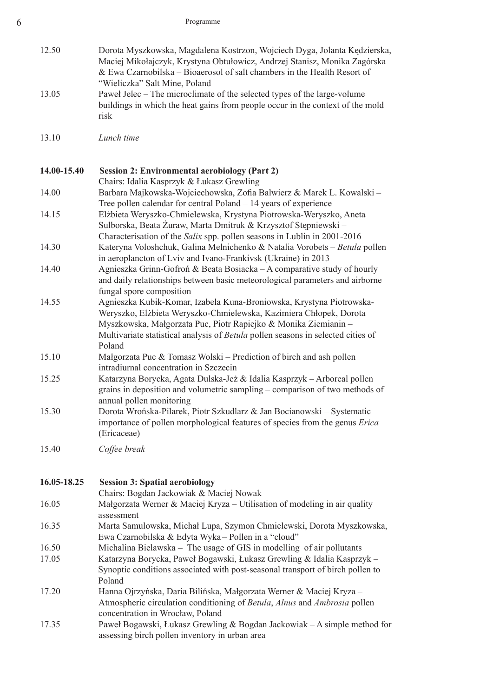| 12.50       | Dorota Myszkowska, Magdalena Kostrzon, Wojciech Dyga, Jolanta Kędzierska,<br>Maciej Mikołajczyk, Krystyna Obtułowicz, Andrzej Stanisz, Monika Zagórska<br>& Ewa Czarnobilska – Bioaerosol of salt chambers in the Health Resort of<br>"Wieliczka" Salt Mine, Poland                                         |
|-------------|-------------------------------------------------------------------------------------------------------------------------------------------------------------------------------------------------------------------------------------------------------------------------------------------------------------|
| 13.05       | Paweł Jelec – The microclimate of the selected types of the large-volume<br>buildings in which the heat gains from people occur in the context of the mold<br>risk                                                                                                                                          |
| 13.10       | Lunch time                                                                                                                                                                                                                                                                                                  |
| 14.00-15.40 | <b>Session 2: Environmental aerobiology (Part 2)</b>                                                                                                                                                                                                                                                        |
| 14.00       | Chairs: Idalia Kasprzyk & Łukasz Grewling<br>Barbara Majkowska-Wojciechowska, Zofia Balwierz & Marek L. Kowalski -                                                                                                                                                                                          |
|             | Tree pollen calendar for central Poland – 14 years of experience                                                                                                                                                                                                                                            |
| 14.15       | Elżbieta Weryszko-Chmielewska, Krystyna Piotrowska-Weryszko, Aneta<br>Sulborska, Beata Żuraw, Marta Dmitruk & Krzysztof Stępniewski –<br>Characterisation of the Salix spp. pollen seasons in Lublin in 2001-2016                                                                                           |
| 14.30       | Kateryna Voloshchuk, Galina Melnichenko & Natalia Vorobets - Betula pollen<br>in aeroplancton of Lviv and Ivano-Frankivsk (Ukraine) in 2013                                                                                                                                                                 |
| 14.40       | Agnieszka Grinn-Gofroń & Beata Bosiacka – A comparative study of hourly<br>and daily relationships between basic meteorological parameters and airborne<br>fungal spore composition                                                                                                                         |
| 14.55       | Agnieszka Kubik-Komar, Izabela Kuna-Broniowska, Krystyna Piotrowska-<br>Weryszko, Elżbieta Weryszko-Chmielewska, Kazimiera Chłopek, Dorota<br>Myszkowska, Małgorzata Puc, Piotr Rapiejko & Monika Ziemianin -<br>Multivariate statistical analysis of Betula pollen seasons in selected cities of<br>Poland |
| 15.10       | Małgorzata Puc & Tomasz Wolski – Prediction of birch and ash pollen<br>intradiurnal concentration in Szczecin                                                                                                                                                                                               |
| 15.25       | Katarzyna Borycka, Agata Dulska-Jeż & Idalia Kasprzyk - Arboreal pollen<br>grains in deposition and volumetric sampling – comparison of two methods of<br>annual pollen monitoring                                                                                                                          |
| 15.30       | Dorota Wrońska-Pilarek, Piotr Szkudlarz & Jan Bocianowski – Systematic<br>importance of pollen morphological features of species from the genus Erica<br>(Ericaceae)                                                                                                                                        |
| 15.40       | Coffee break                                                                                                                                                                                                                                                                                                |
| 16.05-18.25 | <b>Session 3: Spatial aerobiology</b>                                                                                                                                                                                                                                                                       |
|             | Chairs: Bogdan Jackowiak & Maciej Nowak                                                                                                                                                                                                                                                                     |
| 16.05       | Małgorzata Werner & Maciej Kryza – Utilisation of modeling in air quality<br>assessment                                                                                                                                                                                                                     |
| 16.35       | Marta Samulowska, Michał Lupa, Szymon Chmielewski, Dorota Myszkowska,<br>Ewa Czarnobilska & Edyta Wyka - Pollen in a "cloud"                                                                                                                                                                                |
| 16.50       | Michalina Bielawska – The usage of GIS in modelling of air pollutants                                                                                                                                                                                                                                       |
| 17.05       | Katarzyna Borycka, Paweł Bogawski, Łukasz Grewling & Idalia Kasprzyk –<br>Synoptic conditions associated with post-seasonal transport of birch pollen to<br>Poland                                                                                                                                          |
| 17.20       | Hanna Ojrzyńska, Daria Bilińska, Małgorzata Werner & Maciej Kryza -<br>Atmospheric circulation conditioning of Betula, Alnus and Ambrosia pollen<br>concentration in Wrocław, Poland                                                                                                                        |

17.35 Paweł Bogawski, Łukasz Grewling & Bogdan Jackowiak – A simple method for assessing birch pollen inventory in urban area